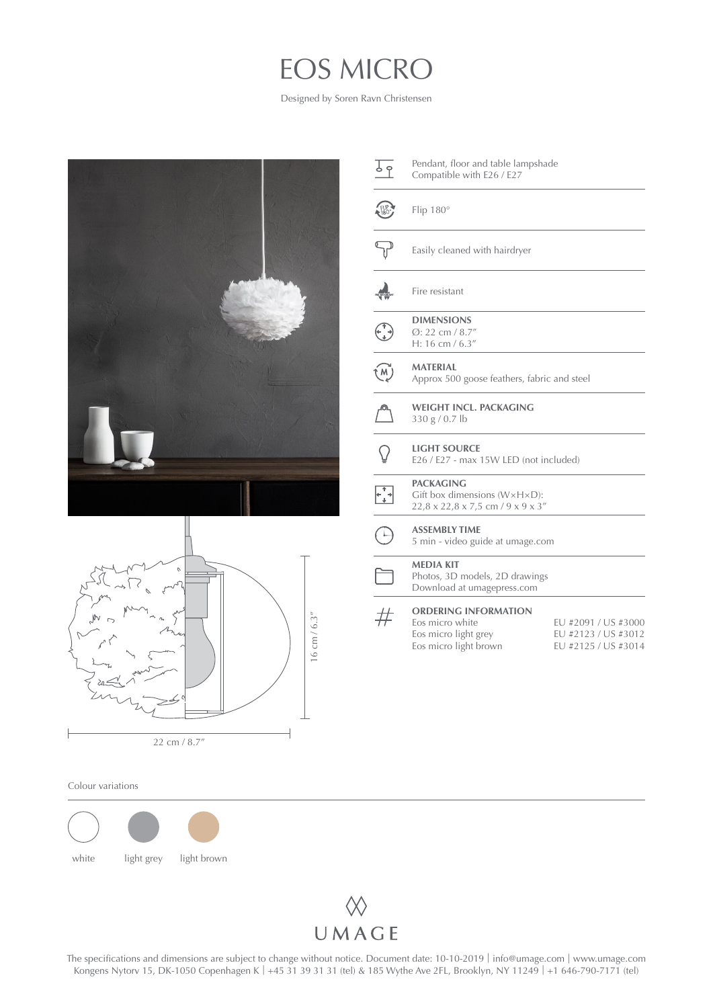## EOS MICRO

Designed by Soren Ravn Christensen





| <u>।</u><br>१  | Pendant, floor and table lampshade<br>Compatible with E26 / E27                                         |                                            |  |
|----------------|---------------------------------------------------------------------------------------------------------|--------------------------------------------|--|
| 186            | Flip 180°                                                                                               |                                            |  |
|                | Easily cleaned with hairdryer                                                                           |                                            |  |
|                | Fire resistant                                                                                          |                                            |  |
|                | <b>DIMENSIONS</b><br>Ø: 22 cm / 8.7"<br>H: 16 cm / $6.3''$                                              |                                            |  |
| $\widehat{M}$  | <b>MATERIAL</b><br>Approx 500 goose feathers, fabric and steel                                          |                                            |  |
|                | <b>WEIGHT INCL. PACKAGING</b><br>330 g / 0.7 lb                                                         |                                            |  |
|                | <b>LIGHT SOURCE</b><br>E26 / E27 - max 15W LED (not included)                                           |                                            |  |
| $+\rightarrow$ | <b>PACKAGING</b><br>Gift box dimensions ( $W \times H \times D$ ):<br>22,8 x 22,8 x 7,5 cm / 9 x 9 x 3" |                                            |  |
|                | <b>ASSEMBLY TIME</b><br>5 min - video guide at umage.com                                                |                                            |  |
|                | <b>MEDIA KIT</b><br>Photos, 3D models, 2D drawings<br>Download at umagepress.com                        |                                            |  |
|                | <b>ORDERING INFORMATION</b><br>Eos micro white<br>Eos micro light grey                                  | EU #2091 / US #3000<br>EU #2123 / US #3012 |  |

EU #2125 / US #3014

Eos micro light brown

Colour variations





The specifications and dimensions are subject to change without notice. Document date: 10-10-2019 | info[@umage.com](mailto:info%40umage.com?subject=) | www[.umage.com](https://www.umage.com/) | Kongens Nytorv 15, DK-1050 Copenhagen K | +45 31 39 31 31 (tel) & 185 Wythe Ave 2FL, Broo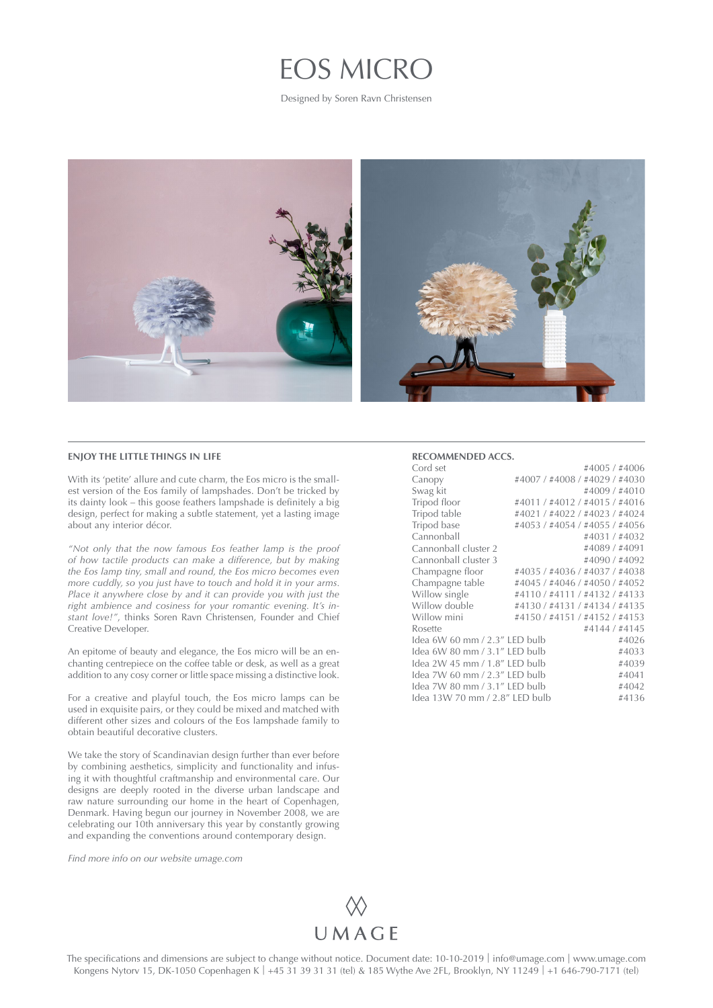## EOS MICRO

Designed by Soren Ravn Christensen



## **ENJOY THE LITTLE THINGS IN LIFE**

With its 'petite' allure and cute charm, the Eos micro is the smallest version of the Eos family of lampshades. Don't be tricked by its dainty look – this goose feathers lampshade is definitely a big design, perfect for making a subtle statement, yet a lasting image about any interior décor.

*"Not only that the now famous Eos feather lamp is the proof of how tactile products can make a difference, but by making the Eos lamp tiny, small and round, the Eos micro becomes even more cuddly, so you just have to touch and hold it in your arms. Place it anywhere close by and it can provide you with just the right ambience and cosiness for your romantic evening. It's instant love!"*, thinks Soren Ravn Christensen, Founder and Chief Creative Developer.

An epitome of beauty and elegance, the Eos micro will be an enchanting centrepiece on the coffee table or desk, as well as a great addition to any cosy corner or little space missing a distinctive look.

For a creative and playful touch, the Eos micro lamps can be used in exquisite pairs, or they could be mixed and matched with different other sizes and colours of the Eos lampshade family to obtain beautiful decorative clusters.

We take the story of Scandinavian design further than ever before by combining aesthetics, simplicity and functionality and infusing it with thoughtful craftmanship and environmental care. Our designs are deeply rooted in the diverse urban landscape and raw nature surrounding our home in the heart of Copenhagen, Denmark. Having begun our journey in November 2008, we are celebrating our 10th anniversary this year by constantly growing and expanding the conventions around contemporary design.

*Find more info on our website [umage.com](http://umage.com)*

## **RECOMMENDED ACCS.**

| Cord set                                |                               | #4005/#4006   |  |
|-----------------------------------------|-------------------------------|---------------|--|
| Canopy                                  | #4007 / #4008 / #4029 / #4030 |               |  |
| Swag kit                                |                               | #4009 / #4010 |  |
| Tripod floor                            | #4011 / #4012 / #4015 / #4016 |               |  |
| Tripod table                            | #4021 / #4022 / #4023 / #4024 |               |  |
| Tripod base                             | #4053 / #4054 / #4055 / #4056 |               |  |
| Cannonball                              |                               | #4031/#4032   |  |
| Cannonball cluster 2                    |                               | #4089 / #4091 |  |
| Cannonball cluster 3                    |                               | #4090/#4092   |  |
| Champagne floor                         | #4035 / #4036 / #4037 / #4038 |               |  |
| Champagne table                         | #4045 / #4046 / #4050 / #4052 |               |  |
| Willow single                           | #4110/#4111/#4132/#4133       |               |  |
| Willow double                           | #4130 / #4131 / #4134 / #4135 |               |  |
| Willow mini                             | #4150 / #4151 / #4152 / #4153 |               |  |
| Rosette                                 |                               | #4144 / #4145 |  |
| Idea 6W 60 mm / 2.3" LED bulb           |                               |               |  |
| Idea 6W 80 mm / 3.1″ LED bulb<br>#4033  |                               |               |  |
| Idea 2W 45 mm / 1.8″ LED bulb<br>#4039  |                               |               |  |
| Idea 7W 60 mm / 2.3″ LED bulb<br>#4041  |                               |               |  |
| Idea 7W 80 mm / 3.1" LED bulb           |                               |               |  |
| Idea 13W 70 mm / 2.8″ LED bulb<br>#4136 |                               |               |  |